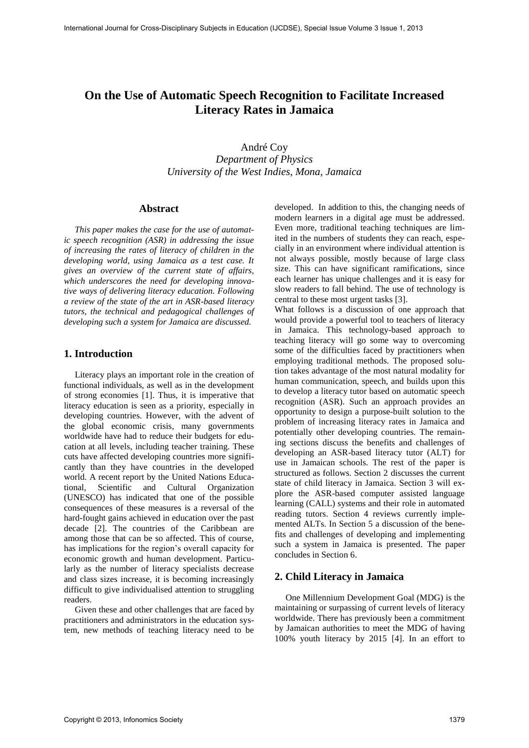# **On the Use of Automatic Speech Recognition to Facilitate Increased Literacy Rates in Jamaica**

André Coy *Department of Physics University of the West Indies, Mona, Jamaica* 

## **Abstract**

*This paper makes the case for the use of automatic speech recognition (ASR) in addressing the issue of increasing the rates of literacy of children in the developing world, using Jamaica as a test case. It gives an overview of the current state of affairs, which underscores the need for developing innovative ways of delivering literacy education. Following a review of the state of the art in ASR-based literacy tutors, the technical and pedagogical challenges of developing such a system for Jamaica are discussed.* 

## **1. Introduction**

Literacy plays an important role in the creation of functional individuals, as well as in the development of strong economies [1]. Thus, it is imperative that literacy education is seen as a priority, especially in developing countries. However, with the advent of the global economic crisis, many governments worldwide have had to reduce their budgets for education at all levels, including teacher training. These cuts have affected developing countries more significantly than they have countries in the developed world. A recent report by the United Nations Educational, Scientific and Cultural Organization (UNESCO) has indicated that one of the possible consequences of these measures is a reversal of the hard-fought gains achieved in education over the past decade [2]. The countries of the Caribbean are among those that can be so affected. This of course, has implications for the region's overall capacity for economic growth and human development. Particularly as the number of literacy specialists decrease and class sizes increase, it is becoming increasingly difficult to give individualised attention to struggling readers.

Given these and other challenges that are faced by practitioners and administrators in the education system, new methods of teaching literacy need to be

developed. In addition to this, the changing needs of modern learners in a digital age must be addressed. Even more, traditional teaching techniques are limited in the numbers of students they can reach, especially in an environment where individual attention is not always possible, mostly because of large class size. This can have significant ramifications, since each learner has unique challenges and it is easy for slow readers to fall behind. The use of technology is central to these most urgent tasks [3].

What follows is a discussion of one approach that would provide a powerful tool to teachers of literacy in Jamaica. This technology-based approach to teaching literacy will go some way to overcoming some of the difficulties faced by practitioners when employing traditional methods. The proposed solution takes advantage of the most natural modality for human communication, speech, and builds upon this to develop a literacy tutor based on automatic speech recognition (ASR). Such an approach provides an opportunity to design a purpose-built solution to the problem of increasing literacy rates in Jamaica and potentially other developing countries. The remaining sections discuss the benefits and challenges of developing an ASR-based literacy tutor (ALT) for use in Jamaican schools. The rest of the paper is structured as follows. Section 2 discusses the current state of child literacy in Jamaica. Section 3 will explore the ASR-based computer assisted language learning (CALL) systems and their role in automated reading tutors. Section 4 reviews currently implemented ALTs. In Section 5 a discussion of the benefits and challenges of developing and implementing such a system in Jamaica is presented. The paper concludes in Section 6.

## **2. Child Literacy in Jamaica**

One Millennium Development Goal (MDG) is the maintaining or surpassing of current levels of literacy worldwide. There has previously been a commitment by Jamaican authorities to meet the MDG of having 100% youth literacy by 2015 [4]. In an effort to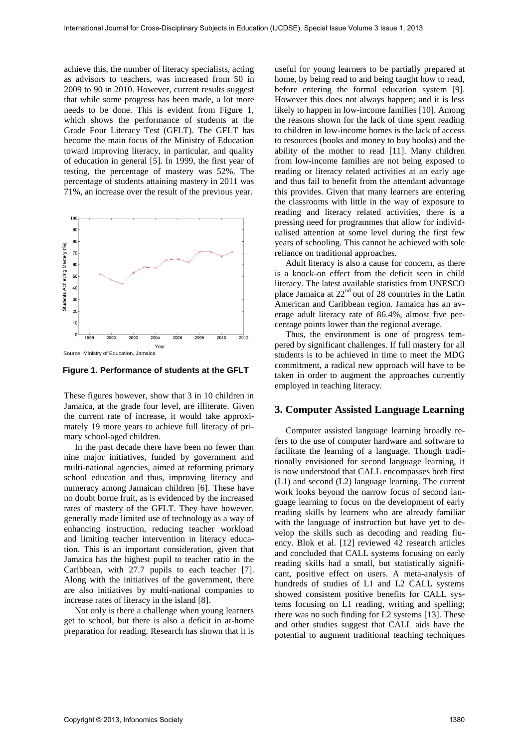achieve this, the number of literacy specialists, acting as advisors to teachers, was increased from 50 in 2009 to 90 in 2010. However, current results suggest that while some progress has been made, a lot more needs to be done. This is evident from Figure 1, which shows the performance of students at the Grade Four Literacy Test (GFLT). The GFLT has become the main focus of the Ministry of Education toward improving literacy, in particular, and quality of education in general [5]. In 1999, the first year of testing, the percentage of mastery was 52%. The percentage of students attaining mastery in 2011 was 71%, an increase over the result of the previous year.



**Figure 1. Performance of students at the GFLT**

These figures however, show that 3 in 10 children in Jamaica, at the grade four level, are illiterate. Given the current rate of increase, it would take approximately 19 more years to achieve full literacy of primary school-aged children.

In the past decade there have been no fewer than nine major initiatives, funded by government and multi-national agencies, aimed at reforming primary school education and thus, improving literacy and numeracy among Jamaican children [6]. These have no doubt borne fruit, as is evidenced by the increased rates of mastery of the GFLT. They have however, generally made limited use of technology as a way of enhancing instruction, reducing teacher workload and limiting teacher intervention in literacy education. This is an important consideration, given that Jamaica has the highest pupil to teacher ratio in the Caribbean, with 27.7 pupils to each teacher [7]. Along with the initiatives of the government, there are also initiatives by multi-national companies to increase rates of literacy in the island [8].

Not only is there a challenge when young learners get to school, but there is also a deficit in at-home preparation for reading. Research has shown that it is

useful for young learners to be partially prepared at home, by being read to and being taught how to read, before entering the formal education system [9]. However this does not always happen; and it is less likely to happen in low-income families [10]. Among the reasons shown for the lack of time spent reading to children in low-income homes is the lack of access to resources (books and money to buy books) and the ability of the mother to read [11]. Many children from low-income families are not being exposed to reading or literacy related activities at an early age and thus fail to benefit from the attendant advantage this provides. Given that many learners are entering the classrooms with little in the way of exposure to reading and literacy related activities, there is a pressing need for programmes that allow for individualised attention at some level during the first few years of schooling. This cannot be achieved with sole reliance on traditional approaches.

Adult literacy is also a cause for concern, as there is a knock-on effect from the deficit seen in child literacy. The latest available statistics from UNESCO place Jamaica at 22nd out of 28 countries in the Latin American and Caribbean region. Jamaica has an average adult literacy rate of 86.4%, almost five percentage points lower than the regional average.

Thus, the environment is one of progress tempered by significant challenges. If full mastery for all students is to be achieved in time to meet the MDG commitment, a radical new approach will have to be taken in order to augment the approaches currently employed in teaching literacy.

## **3. Computer Assisted Language Learning**

Computer assisted language learning broadly refers to the use of computer hardware and software to facilitate the learning of a language. Though traditionally envisioned for second language learning, it is now understood that CALL encompasses both first (L1) and second (L2) language learning. The current work looks beyond the narrow focus of second language learning to focus on the development of early reading skills by learners who are already familiar with the language of instruction but have yet to develop the skills such as decoding and reading fluency. Blok et al. [12] reviewed 42 research articles and concluded that CALL systems focusing on early reading skills had a small, but statistically significant, positive effect on users. A meta-analysis of hundreds of studies of L1 and L2 CALL systems showed consistent positive benefits for CALL systems focusing on L1 reading, writing and spelling; there was no such finding for L2 systems [13]. These and other studies suggest that CALL aids have the potential to augment traditional teaching techniques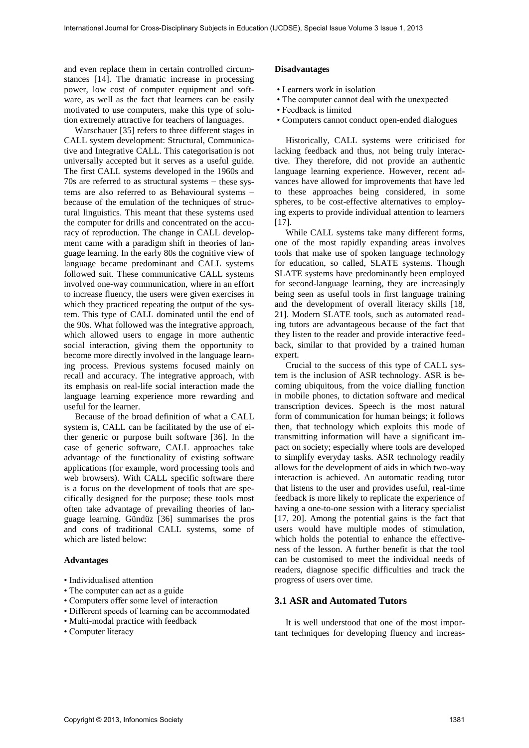and even replace them in certain controlled circumstances [14]. The dramatic increase in processing power, low cost of computer equipment and software, as well as the fact that learners can be easily motivated to use computers, make this type of solution extremely attractive for teachers of languages.

Warschauer [35] refers to three different stages in CALL system development: Structural, Communicative and Integrative CALL. This categorisation is not universally accepted but it serves as a useful guide. The first CALL systems developed in the 1960s and 70s are referred to as structural systems – these systems are also referred to as Behavioural systems – because of the emulation of the techniques of structural linguistics. This meant that these systems used the computer for drills and concentrated on the accuracy of reproduction. The change in CALL development came with a paradigm shift in theories of language learning. In the early 80s the cognitive view of language became predominant and CALL systems followed suit. These communicative CALL systems involved one-way communication, where in an effort to increase fluency, the users were given exercises in which they practiced repeating the output of the system. This type of CALL dominated until the end of the 90s. What followed was the integrative approach, which allowed users to engage in more authentic social interaction, giving them the opportunity to become more directly involved in the language learning process. Previous systems focused mainly on recall and accuracy. The integrative approach, with its emphasis on real-life social interaction made the language learning experience more rewarding and useful for the learner.

Because of the broad definition of what a CALL system is, CALL can be facilitated by the use of either generic or purpose built software [36]. In the case of generic software, CALL approaches take advantage of the functionality of existing software applications (for example, word processing tools and web browsers). With CALL specific software there is a focus on the development of tools that are specifically designed for the purpose; these tools most often take advantage of prevailing theories of language learning. Gündüz [36] summarises the pros and cons of traditional CALL systems, some of which are listed below:

#### **Advantages**

- Individualised attention
- The computer can act as a guide
- Computers offer some level of interaction
- Different speeds of learning can be accommodated
- Multi-modal practice with feedback
- Computer literacy

#### **Disadvantages**

- Learners work in isolation
- The computer cannot deal with the unexpected
- Feedback is limited
- Computers cannot conduct open-ended dialogues

Historically, CALL systems were criticised for lacking feedback and thus, not being truly interactive. They therefore, did not provide an authentic language learning experience. However, recent advances have allowed for improvements that have led to these approaches being considered, in some spheres, to be cost-effective alternatives to employing experts to provide individual attention to learners [17].

While CALL systems take many different forms, one of the most rapidly expanding areas involves tools that make use of spoken language technology for education, so called, SLATE systems. Though SLATE systems have predominantly been employed for second-language learning, they are increasingly being seen as useful tools in first language training and the development of overall literacy skills [18, 21]. Modern SLATE tools, such as automated reading tutors are advantageous because of the fact that they listen to the reader and provide interactive feedback, similar to that provided by a trained human expert.

Crucial to the success of this type of CALL system is the inclusion of ASR technology. ASR is becoming ubiquitous, from the voice dialling function in mobile phones, to dictation software and medical transcription devices. Speech is the most natural form of communication for human beings; it follows then, that technology which exploits this mode of transmitting information will have a significant impact on society; especially where tools are developed to simplify everyday tasks. ASR technology readily allows for the development of aids in which two-way interaction is achieved. An automatic reading tutor that listens to the user and provides useful, real-time feedback is more likely to replicate the experience of having a one-to-one session with a literacy specialist [17, 20]. Among the potential gains is the fact that users would have multiple modes of stimulation, which holds the potential to enhance the effectiveness of the lesson. A further benefit is that the tool can be customised to meet the individual needs of readers, diagnose specific difficulties and track the progress of users over time.

## **3.1 ASR and Automated Tutors**

It is well understood that one of the most important techniques for developing fluency and increas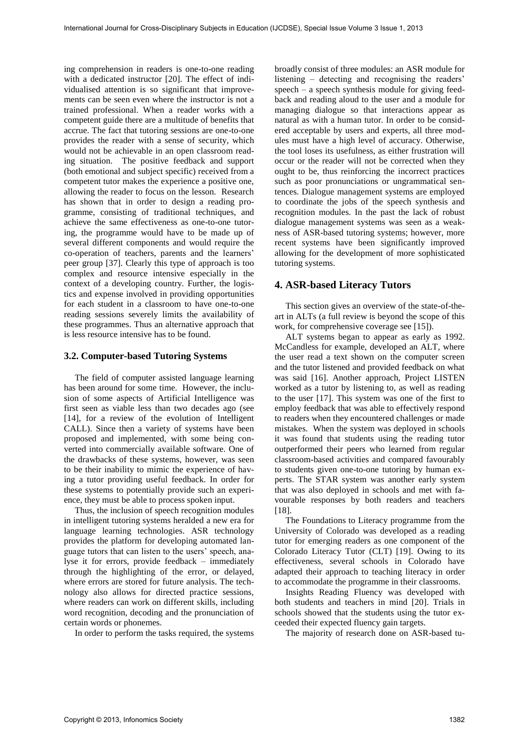ing comprehension in readers is one-to-one reading with a dedicated instructor [20]. The effect of individualised attention is so significant that improvements can be seen even where the instructor is not a trained professional. When a reader works with a competent guide there are a multitude of benefits that accrue. The fact that tutoring sessions are one-to-one provides the reader with a sense of security, which would not be achievable in an open classroom reading situation. The positive feedback and support (both emotional and subject specific) received from a competent tutor makes the experience a positive one, allowing the reader to focus on the lesson. Research has shown that in order to design a reading programme, consisting of traditional techniques, and achieve the same effectiveness as one-to-one tutoring, the programme would have to be made up of several different components and would require the co-operation of teachers, parents and the learners' peer group [37]. Clearly this type of approach is too complex and resource intensive especially in the context of a developing country. Further, the logistics and expense involved in providing opportunities for each student in a classroom to have one-to-one reading sessions severely limits the availability of these programmes. Thus an alternative approach that is less resource intensive has to be found.

## **3.2. Computer-based Tutoring Systems**

The field of computer assisted language learning has been around for some time. However, the inclusion of some aspects of Artificial Intelligence was first seen as viable less than two decades ago (see [14], for a review of the evolution of Intelligent CALL). Since then a variety of systems have been proposed and implemented, with some being converted into commercially available software. One of the drawbacks of these systems, however, was seen to be their inability to mimic the experience of having a tutor providing useful feedback. In order for these systems to potentially provide such an experience, they must be able to process spoken input.

Thus, the inclusion of speech recognition modules in intelligent tutoring systems heralded a new era for language learning technologies. ASR technology provides the platform for developing automated language tutors that can listen to the users' speech, analyse it for errors, provide feedback – immediately through the highlighting of the error, or delayed, where errors are stored for future analysis. The technology also allows for directed practice sessions, where readers can work on different skills, including word recognition, decoding and the pronunciation of certain words or phonemes.

In order to perform the tasks required, the systems

broadly consist of three modules: an ASR module for listening – detecting and recognising the readers' speech – a speech synthesis module for giving feedback and reading aloud to the user and a module for managing dialogue so that interactions appear as natural as with a human tutor. In order to be considered acceptable by users and experts, all three modules must have a high level of accuracy. Otherwise, the tool loses its usefulness, as either frustration will occur or the reader will not be corrected when they ought to be, thus reinforcing the incorrect practices such as poor pronunciations or ungrammatical sentences. Dialogue management systems are employed to coordinate the jobs of the speech synthesis and recognition modules. In the past the lack of robust dialogue management systems was seen as a weakness of ASR-based tutoring systems; however, more recent systems have been significantly improved allowing for the development of more sophisticated tutoring systems.

# **4. ASR-based Literacy Tutors**

This section gives an overview of the state-of-theart in ALTs (a full review is beyond the scope of this work, for comprehensive coverage see [15]).

ALT systems began to appear as early as 1992. McCandless for example, developed an ALT, where the user read a text shown on the computer screen and the tutor listened and provided feedback on what was said [16]. Another approach, Project LISTEN worked as a tutor by listening to, as well as reading to the user [17]. This system was one of the first to employ feedback that was able to effectively respond to readers when they encountered challenges or made mistakes. When the system was deployed in schools it was found that students using the reading tutor outperformed their peers who learned from regular classroom-based activities and compared favourably to students given one-to-one tutoring by human experts. The STAR system was another early system that was also deployed in schools and met with favourable responses by both readers and teachers [18].

The Foundations to Literacy programme from the University of Colorado was developed as a reading tutor for emerging readers as one component of the Colorado Literacy Tutor (CLT) [19]. Owing to its effectiveness, several schools in Colorado have adapted their approach to teaching literacy in order to accommodate the programme in their classrooms.

Insights Reading Fluency was developed with both students and teachers in mind [20]. Trials in schools showed that the students using the tutor exceeded their expected fluency gain targets.

The majority of research done on ASR-based tu-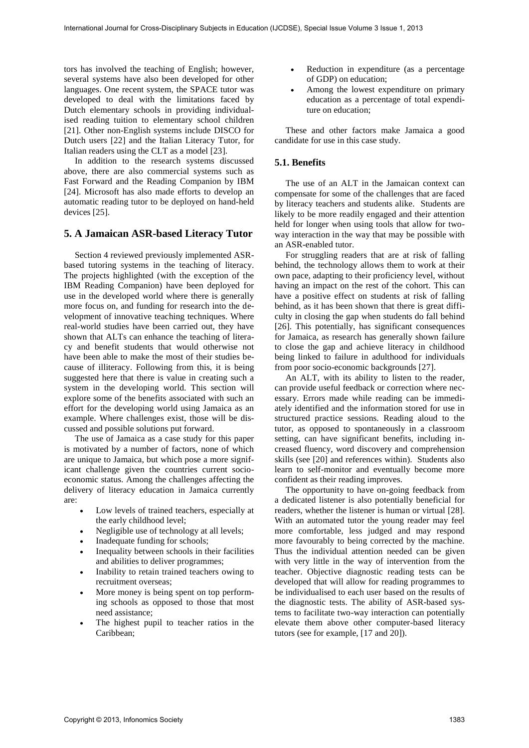tors has involved the teaching of English; however, several systems have also been developed for other languages. One recent system, the SPACE tutor was developed to deal with the limitations faced by Dutch elementary schools in providing individualised reading tuition to elementary school children [21]. Other non-English systems include DISCO for Dutch users [22] and the Italian Literacy Tutor, for Italian readers using the CLT as a model [23].

In addition to the research systems discussed above, there are also commercial systems such as Fast Forward and the Reading Companion by IBM [24]. Microsoft has also made efforts to develop an automatic reading tutor to be deployed on hand-held devices [25].

## **5. A Jamaican ASR-based Literacy Tutor**

Section 4 reviewed previously implemented ASRbased tutoring systems in the teaching of literacy. The projects highlighted (with the exception of the IBM Reading Companion) have been deployed for use in the developed world where there is generally more focus on, and funding for research into the development of innovative teaching techniques. Where real-world studies have been carried out, they have shown that ALTs can enhance the teaching of literacy and benefit students that would otherwise not have been able to make the most of their studies because of illiteracy. Following from this, it is being suggested here that there is value in creating such a system in the developing world. This section will explore some of the benefits associated with such an effort for the developing world using Jamaica as an example. Where challenges exist, those will be discussed and possible solutions put forward.

The use of Jamaica as a case study for this paper is motivated by a number of factors, none of which are unique to Jamaica, but which pose a more significant challenge given the countries current socioeconomic status. Among the challenges affecting the delivery of literacy education in Jamaica currently are:

- Low levels of trained teachers, especially at the early childhood level;
- Negligible use of technology at all levels;
- Inadequate funding for schools;
- Inequality between schools in their facilities and abilities to deliver programmes;
- Inability to retain trained teachers owing to recruitment overseas;
- More money is being spent on top performing schools as opposed to those that most need assistance;
- The highest pupil to teacher ratios in the Caribbean;
- Reduction in expenditure (as a percentage of GDP) on education;
- Among the lowest expenditure on primary education as a percentage of total expenditure on education;

These and other factors make Jamaica a good candidate for use in this case study.

#### **5.1. Benefits**

The use of an ALT in the Jamaican context can compensate for some of the challenges that are faced by literacy teachers and students alike. Students are likely to be more readily engaged and their attention held for longer when using tools that allow for twoway interaction in the way that may be possible with an ASR-enabled tutor.

For struggling readers that are at risk of falling behind, the technology allows them to work at their own pace, adapting to their proficiency level, without having an impact on the rest of the cohort. This can have a positive effect on students at risk of falling behind, as it has been shown that there is great difficulty in closing the gap when students do fall behind [26]. This potentially, has significant consequences for Jamaica, as research has generally shown failure to close the gap and achieve literacy in childhood being linked to failure in adulthood for individuals from poor socio-economic backgrounds [27].

An ALT, with its ability to listen to the reader, can provide useful feedback or correction where necessary. Errors made while reading can be immediately identified and the information stored for use in structured practice sessions. Reading aloud to the tutor, as opposed to spontaneously in a classroom setting, can have significant benefits, including increased fluency, word discovery and comprehension skills (see [20] and references within). Students also learn to self-monitor and eventually become more confident as their reading improves.

The opportunity to have on-going feedback from a dedicated listener is also potentially beneficial for readers, whether the listener is human or virtual [28]. With an automated tutor the young reader may feel more comfortable, less judged and may respond more favourably to being corrected by the machine. Thus the individual attention needed can be given with very little in the way of intervention from the teacher. Objective diagnostic reading tests can be developed that will allow for reading programmes to be individualised to each user based on the results of the diagnostic tests. The ability of ASR-based systems to facilitate two-way interaction can potentially elevate them above other computer-based literacy tutors (see for example, [17 and 20]).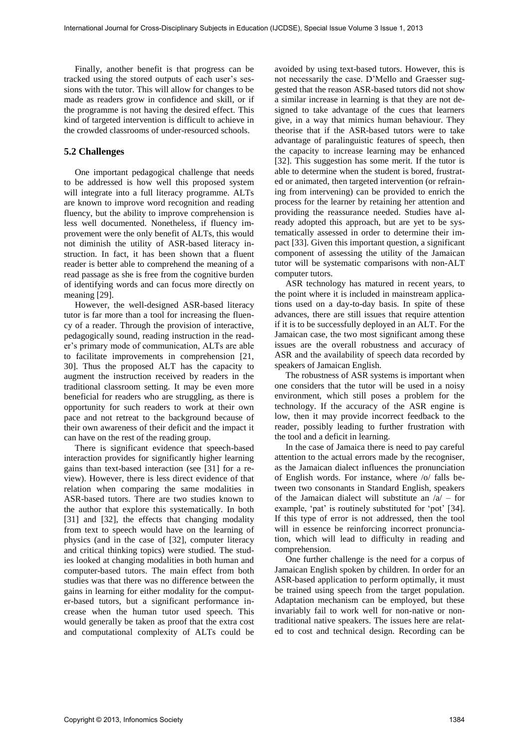Finally, another benefit is that progress can be tracked using the stored outputs of each user's sessions with the tutor. This will allow for changes to be made as readers grow in confidence and skill, or if the programme is not having the desired effect. This kind of targeted intervention is difficult to achieve in the crowded classrooms of under-resourced schools.

#### **5.2 Challenges**

One important pedagogical challenge that needs to be addressed is how well this proposed system will integrate into a full literacy programme. ALTs are known to improve word recognition and reading fluency, but the ability to improve comprehension is less well documented. Nonetheless, if fluency improvement were the only benefit of ALTs, this would not diminish the utility of ASR-based literacy instruction. In fact, it has been shown that a fluent reader is better able to comprehend the meaning of a read passage as she is free from the cognitive burden of identifying words and can focus more directly on meaning [29].

However, the well-designed ASR-based literacy tutor is far more than a tool for increasing the fluency of a reader. Through the provision of interactive, pedagogically sound, reading instruction in the reader's primary mode of communication, ALTs are able to facilitate improvements in comprehension [21, 30]. Thus the proposed ALT has the capacity to augment the instruction received by readers in the traditional classroom setting. It may be even more beneficial for readers who are struggling, as there is opportunity for such readers to work at their own pace and not retreat to the background because of their own awareness of their deficit and the impact it can have on the rest of the reading group.

There is significant evidence that speech-based interaction provides for significantly higher learning gains than text-based interaction (see [31] for a review). However, there is less direct evidence of that relation when comparing the same modalities in ASR-based tutors. There are two studies known to the author that explore this systematically. In both [31] and [32], the effects that changing modality from text to speech would have on the learning of physics (and in the case of [32], computer literacy and critical thinking topics) were studied. The studies looked at changing modalities in both human and computer-based tutors. The main effect from both studies was that there was no difference between the gains in learning for either modality for the computer-based tutors, but a significant performance increase when the human tutor used speech. This would generally be taken as proof that the extra cost and computational complexity of ALTs could be

avoided by using text-based tutors. However, this is not necessarily the case. D'Mello and Graesser suggested that the reason ASR-based tutors did not show a similar increase in learning is that they are not designed to take advantage of the cues that learners give, in a way that mimics human behaviour. They theorise that if the ASR-based tutors were to take advantage of paralinguistic features of speech, then the capacity to increase learning may be enhanced [32]. This suggestion has some merit. If the tutor is able to determine when the student is bored, frustrated or animated, then targeted intervention (or refraining from intervening) can be provided to enrich the process for the learner by retaining her attention and providing the reassurance needed. Studies have already adopted this approach, but are yet to be systematically assessed in order to determine their impact [33]. Given this important question, a significant component of assessing the utility of the Jamaican tutor will be systematic comparisons with non-ALT computer tutors.

ASR technology has matured in recent years, to the point where it is included in mainstream applications used on a day-to-day basis. In spite of these advances, there are still issues that require attention if it is to be successfully deployed in an ALT. For the Jamaican case, the two most significant among these issues are the overall robustness and accuracy of ASR and the availability of speech data recorded by speakers of Jamaican English.

The robustness of ASR systems is important when one considers that the tutor will be used in a noisy environment, which still poses a problem for the technology. If the accuracy of the ASR engine is low, then it may provide incorrect feedback to the reader, possibly leading to further frustration with the tool and a deficit in learning.

In the case of Jamaica there is need to pay careful attention to the actual errors made by the recogniser, as the Jamaican dialect influences the pronunciation of English words. For instance, where /o/ falls between two consonants in Standard English, speakers of the Jamaican dialect will substitute an  $/a$  – for example, 'pat' is routinely substituted for 'pot' [34]. If this type of error is not addressed, then the tool will in essence be reinforcing incorrect pronunciation, which will lead to difficulty in reading and comprehension.

One further challenge is the need for a corpus of Jamaican English spoken by children. In order for an ASR-based application to perform optimally, it must be trained using speech from the target population. Adaptation mechanism can be employed, but these invariably fail to work well for non-native or nontraditional native speakers. The issues here are related to cost and technical design. Recording can be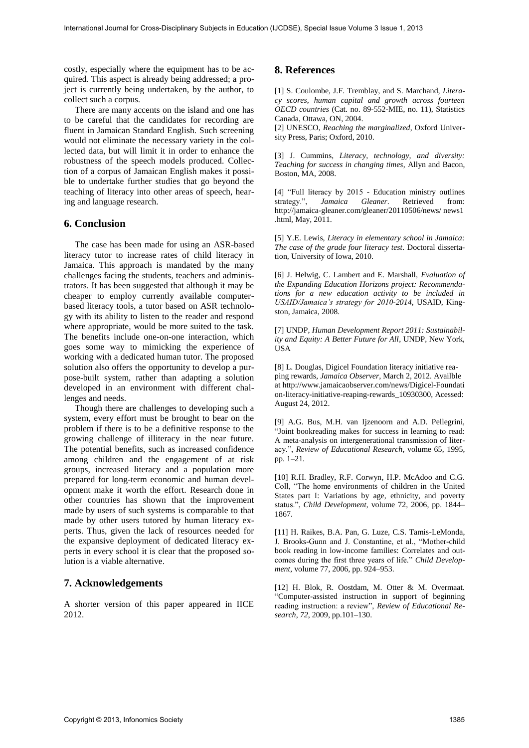costly, especially where the equipment has to be acquired. This aspect is already being addressed; a project is currently being undertaken, by the author, to collect such a corpus.

There are many accents on the island and one has to be careful that the candidates for recording are fluent in Jamaican Standard English. Such screening would not eliminate the necessary variety in the collected data, but will limit it in order to enhance the robustness of the speech models produced. Collection of a corpus of Jamaican English makes it possible to undertake further studies that go beyond the teaching of literacy into other areas of speech, hearing and language research.

## **6. Conclusion**

The case has been made for using an ASR-based literacy tutor to increase rates of child literacy in Jamaica. This approach is mandated by the many challenges facing the students, teachers and administrators. It has been suggested that although it may be cheaper to employ currently available computerbased literacy tools, a tutor based on ASR technology with its ability to listen to the reader and respond where appropriate, would be more suited to the task. The benefits include one-on-one interaction, which goes some way to mimicking the experience of working with a dedicated human tutor. The proposed solution also offers the opportunity to develop a purpose-built system, rather than adapting a solution developed in an environment with different challenges and needs.

Though there are challenges to developing such a system, every effort must be brought to bear on the problem if there is to be a definitive response to the growing challenge of illiteracy in the near future. The potential benefits, such as increased confidence among children and the engagement of at risk groups, increased literacy and a population more prepared for long-term economic and human development make it worth the effort. Research done in other countries has shown that the improvement made by users of such systems is comparable to that made by other users tutored by human literacy experts. Thus, given the lack of resources needed for the expansive deployment of dedicated literacy experts in every school it is clear that the proposed solution is a viable alternative.

## **7. Acknowledgements**

A shorter version of this paper appeared in IICE 2012.

# **8. References**

[1] S. Coulombe, J.F. Tremblay, and S. Marchand, *Literacy scores, human capital and growth across fourteen OECD countries* (Cat. no. 89-552-MIE, no. 11), Statistics Canada, Ottawa, ON, 2004.

[2] UNESCO, *Reaching the marginalized*, Oxford University Press, Paris; Oxford, 2010.

[3] J. Cummins, *Literacy, technology, and diversity: Teaching for success in changing times*, Allyn and Bacon, Boston, MA, 2008.

[4] "Full literacy by 2015 - Education ministry outlines strategy.", *Jamaica Gleaner*. Retrieved from: http://jamaica-gleaner.com/gleaner/20110506/news/ news1 .html, May, 2011.

[5] Y.E. Lewis, *Literacy in elementary school in Jamaica: The case of the grade four literacy test*. Doctoral dissertation, University of Iowa, 2010.

[6] J. Helwig, C. Lambert and E. Marshall, *Evaluation of the Expanding Education Horizons project: Recommendations for a new education activity to be included in USAID/Jamaica's strategy for 2010-2014*, USAID, Kingston, Jamaica, 2008.

[7] UNDP, *Human Development Report 2011: Sustainability and Equity: A Better Future for All*, UNDP, New York, **USA** 

[8] L. Douglas, Digicel Foundation literacy initiative reaping rewards, *Jamaica Observer*, March 2, 2012. Availble at http://www.jamaicaobserver.com/news/Digicel-Foundati on-literacy-initiative-reaping-rewards\_10930300, Acessed: August 24, 2012.

[9] A.G. Bus, M.H. van Ijzenoorn and A.D. Pellegrini, "Joint bookreading makes for success in learning to read: A meta-analysis on intergenerational transmission of literacy.", *Review of Educational Research*, volume 65, 1995, pp. 1–21.

[10] R.H. Bradley, R.F. Corwyn, H.P. McAdoo and C.G. Coll, "The home environments of children in the United States part I: Variations by age, ethnicity, and poverty status.", *Child Development*, volume 72, 2006, pp. 1844– 1867.

[11] H. Raikes, B.A. Pan, G. Luze, C.S. Tamis-LeMonda, J. Brooks-Gunn and J. Constantine, et al., "Mother-child book reading in low-income families: Correlates and outcomes during the first three years of life." *Child Development*, volume 77, 2006, pp. 924–953.

[12] H. Blok, R. Oostdam, M. Otter & M. Overmaat. "Computer-assisted instruction in support of beginning reading instruction: a review", *Review of Educational Research*, *72*, 2009, pp.101–130.